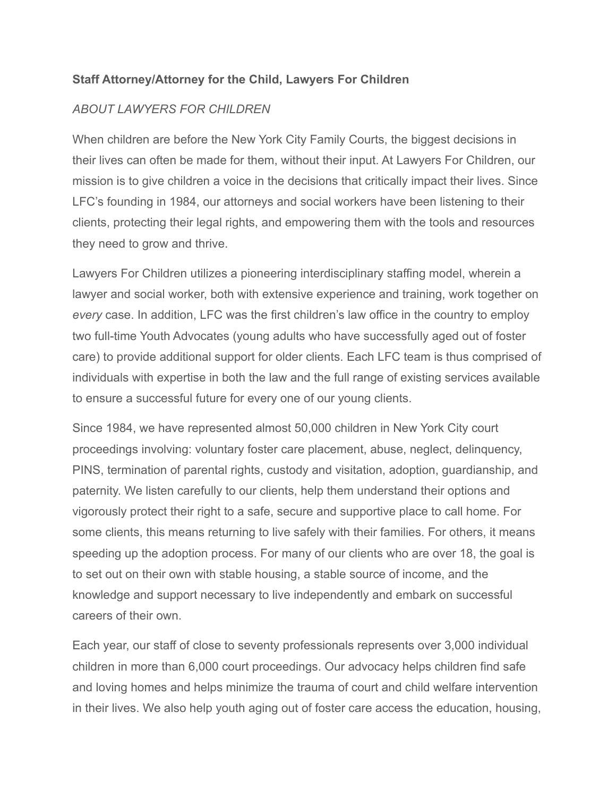#### **Staff Attorney/Attorney for the Child, Lawyers For Children**

### *ABOUT LAWYERS FOR CHILDREN*

When children are before the New York City Family Courts, the biggest decisions in their lives can often be made for them, without their input. At Lawyers For Children, our mission is to give children a voice in the decisions that critically impact their lives. Since LFC's founding in 1984, our attorneys and social workers have been listening to their clients, protecting their legal rights, and empowering them with the tools and resources they need to grow and thrive.

Lawyers For Children utilizes a pioneering interdisciplinary staffing model, wherein a lawyer and social worker, both with extensive experience and training, work together on *every* case. In addition, LFC was the first children's law office in the country to employ two full-time Youth Advocates (young adults who have successfully aged out of foster care) to provide additional support for older clients. Each LFC team is thus comprised of individuals with expertise in both the law and the full range of existing services available to ensure a successful future for every one of our young clients.

Since 1984, we have represented almost 50,000 children in New York City court proceedings involving: voluntary foster care placement, abuse, neglect, delinquency, PINS, termination of parental rights, custody and visitation, adoption, guardianship, and paternity. We listen carefully to our clients, help them understand their options and vigorously protect their right to a safe, secure and supportive place to call home. For some clients, this means returning to live safely with their families. For others, it means speeding up the adoption process. For many of our clients who are over 18, the goal is to set out on their own with stable housing, a stable source of income, and the knowledge and support necessary to live independently and embark on successful careers of their own.

Each year, our staff of close to seventy professionals represents over 3,000 individual children in more than 6,000 court proceedings. Our advocacy helps children find safe and loving homes and helps minimize the trauma of court and child welfare intervention in their lives. We also help youth aging out of foster care access the education, housing,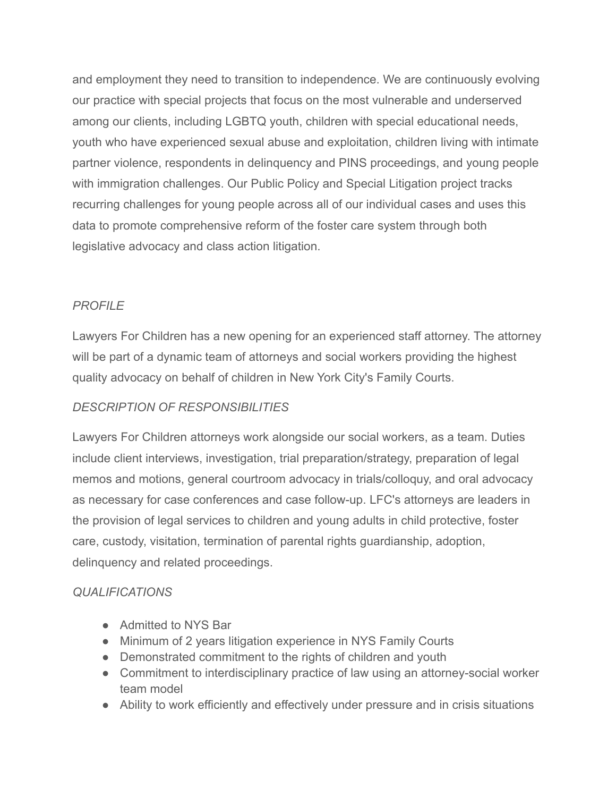and employment they need to transition to independence. We are continuously evolving our practice with special projects that focus on the most vulnerable and underserved among our clients, including LGBTQ youth, children with special educational needs, youth who have experienced sexual abuse and exploitation, children living with intimate partner violence, respondents in delinquency and PINS proceedings, and young people with immigration challenges. Our Public Policy and Special Litigation project tracks recurring challenges for young people across all of our individual cases and uses this data to promote comprehensive reform of the foster care system through both legislative advocacy and class action litigation.

# *PROFILE*

Lawyers For Children has a new opening for an experienced staff attorney. The attorney will be part of a dynamic team of attorneys and social workers providing the highest quality advocacy on behalf of children in New York City's Family Courts.

# *DESCRIPTION OF RESPONSIBILITIES*

Lawyers For Children attorneys work alongside our social workers, as a team. Duties include client interviews, investigation, trial preparation/strategy, preparation of legal memos and motions, general courtroom advocacy in trials/colloquy, and oral advocacy as necessary for case conferences and case follow-up. LFC's attorneys are leaders in the provision of legal services to children and young adults in child protective, foster care, custody, visitation, termination of parental rights guardianship, adoption, delinquency and related proceedings.

## *QUALIFICATIONS*

- Admitted to NYS Bar
- Minimum of 2 years litigation experience in NYS Family Courts
- Demonstrated commitment to the rights of children and youth
- Commitment to interdisciplinary practice of law using an attorney-social worker team model
- Ability to work efficiently and effectively under pressure and in crisis situations